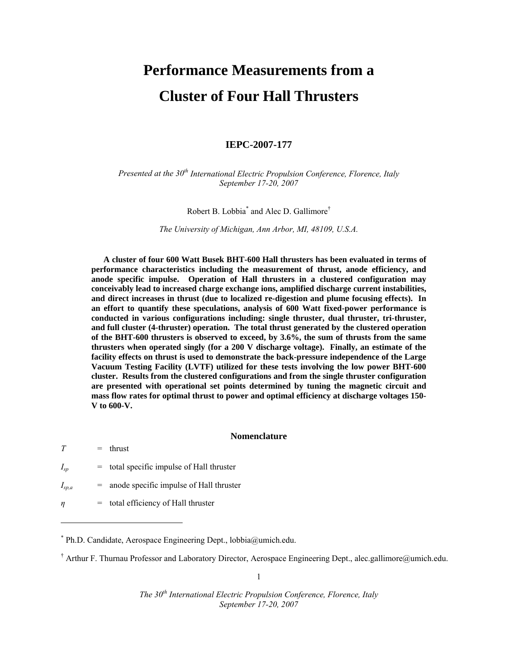# **Performance Measurements from a Cluster of Four Hall Thrusters**

# **IEPC-2007-177**

*Presented at the 30th International Electric Propulsion Conference, Florence, Italy September 17-20, 2007* 

Robert B. Lobbia\* and Alec D. Gallimore†

*The University of Michigan, Ann Arbor, MI, 48109, U.S.A.* 

**A cluster of four 600 Watt Busek BHT-600 Hall thrusters has been evaluated in terms of performance characteristics including the measurement of thrust, anode efficiency, and anode specific impulse. Operation of Hall thrusters in a clustered configuration may conceivably lead to increased charge exchange ions, amplified discharge current instabilities, and direct increases in thrust (due to localized re-digestion and plume focusing effects). In an effort to quantify these speculations, analysis of 600 Watt fixed-power performance is conducted in various configurations including: single thruster, dual thruster, tri-thruster, and full cluster (4-thruster) operation. The total thrust generated by the clustered operation of the BHT-600 thrusters is observed to exceed, by 3.6%, the sum of thrusts from the same thrusters when operated singly (for a 200 V discharge voltage). Finally, an estimate of the facility effects on thrust is used to demonstrate the back-pressure independence of the Large Vacuum Testing Facility (LVTF) utilized for these tests involving the low power BHT-600 cluster. Results from the clustered configurations and from the single thruster configuration are presented with operational set points determined by tuning the magnetic circuit and mass flow rates for optimal thrust to power and optimal efficiency at discharge voltages 150- V to 600-V.** 

## **Nomenclature**

| T          | $=$ thrust                                  |
|------------|---------------------------------------------|
| $I_{sp}$   | $=$ total specific impulse of Hall thruster |
| $I_{sp,a}$ | $=$ anode specific impulse of Hall thruster |
| $\eta$     | $=$ total efficiency of Hall thruster       |

 $\overline{a}$ 

\* Ph.D. Candidate, Aerospace Engineering Dept., lobbia@umich.edu.

† Arthur F. Thurnau Professor and Laboratory Director, Aerospace Engineering Dept., alec.gallimore@umich.edu.

1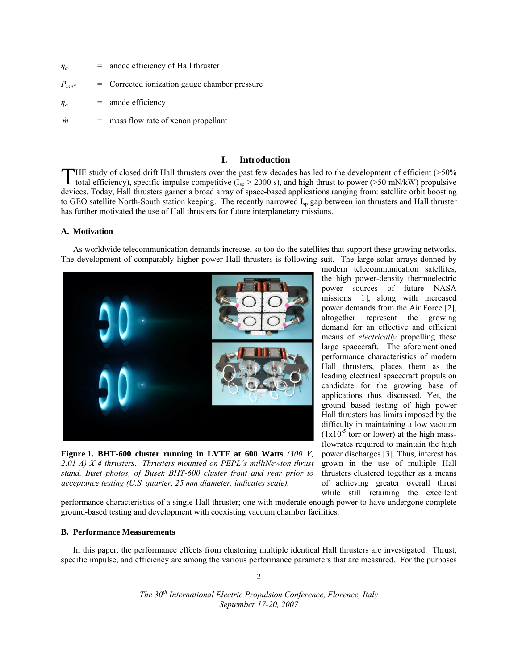| $\eta_a$    | $=$ anode efficiency of Hall thruster         |
|-------------|-----------------------------------------------|
| $P_{ion}$ * | = Corrected ionization gauge chamber pressure |

 $\eta_a$  = anode efficiency

 $\dot{m}$  = mass flow rate of xenon propellant

# **I. Introduction**

HE study of closed drift Hall thrusters over the past few decades has led to the development of efficient (>50% THE study of closed drift Hall thrusters over the past few decades has led to the development of efficient (>50% total efficiency), specific impulse competitive  $(I_{sp} > 2000 \text{ s})$ , and high thrust to power (>50 mN/kW) prop devices. Today, Hall thrusters garner a broad array of space-based applications ranging from: satellite orbit boosting to GEO satellite North-South station keeping. The recently narrowed  $I_{sp}$  gap between ion thrusters and Hall thruster has further motivated the use of Hall thrusters for future interplanetary missions.

# **A. Motivation**

 As worldwide telecommunication demands increase, so too do the satellites that support these growing networks. The development of comparably higher power Hall thrusters is following suit. The large solar arrays donned by



**Figure 1. BHT-600 cluster running in LVTF at 600 Watts** *(300 V, 2.01 A) X 4 thrusters. Thrusters mounted on PEPL's milliNewton thrust stand. Inset photos, of Busek BHT-600 cluster front and rear prior to acceptance testing (U.S. quarter, 25 mm diameter, indicates scale).* 

modern telecommunication satellites, the high power-density thermoelectric power sources of future NASA missions [1], along with increased power demands from the Air Force [2], altogether represent the growing demand for an effective and efficient means of *electrically* propelling these large spacecraft. The aforementioned performance characteristics of modern Hall thrusters, places them as the leading electrical spacecraft propulsion candidate for the growing base of applications thus discussed. Yet, the ground based testing of high power Hall thrusters has limits imposed by the difficulty in maintaining a low vacuum  $(1x10^{-5}$  torr or lower) at the high massflowrates required to maintain the high power discharges [3]. Thus, interest has grown in the use of multiple Hall thrusters clustered together as a means of achieving greater overall thrust while still retaining the excellent

performance characteristics of a single Hall thruster; one with moderate enough power to have undergone complete ground-based testing and development with coexisting vacuum chamber facilities.

## **B. Performance Measurements**

 In this paper, the performance effects from clustering multiple identical Hall thrusters are investigated. Thrust, specific impulse, and efficiency are among the various performance parameters that are measured. For the purposes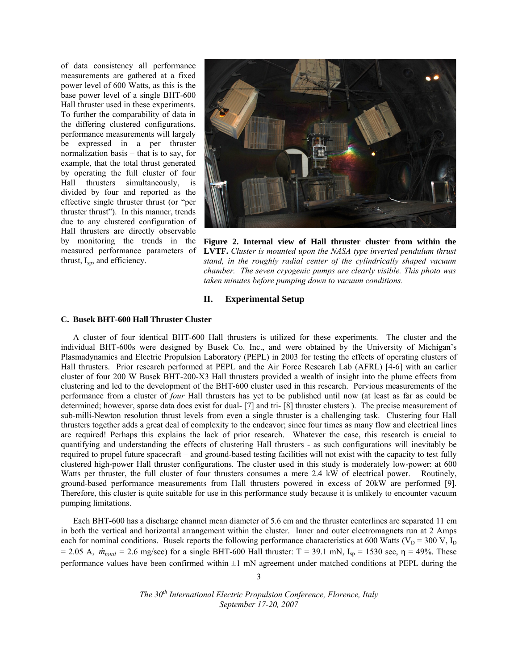of data consistency all performance measurements are gathered at a fixed power level of 600 Watts, as this is the base power level of a single BHT-600 Hall thruster used in these experiments. To further the comparability of data in the differing clustered configurations, performance measurements will largely be expressed in a per thruster normalization basis – that is to say, for example, that the total thrust generated by operating the full cluster of four Hall thrusters simultaneously, is divided by four and reported as the effective single thruster thrust (or "per thruster thrust"). In this manner, trends due to any clustered configuration of Hall thrusters are directly observable by monitoring the trends in the measured performance parameters of thrust, I<sub>sp</sub>, and efficiency.



**Figure 2. Internal view of Hall thruster cluster from within the LVTF.** *Cluster is mounted upon the NASA type inverted pendulum thrust stand, in the roughly radial center of the cylindrically shaped vacuum chamber. The seven cryogenic pumps are clearly visible. This photo was taken minutes before pumping down to vacuum conditions.* 

# **II. Experimental Setup**

#### **C. Busek BHT-600 Hall Thruster Cluster**

A cluster of four identical BHT-600 Hall thrusters is utilized for these experiments. The cluster and the individual BHT-600s were designed by Busek Co. Inc., and were obtained by the University of Michigan's Plasmadynamics and Electric Propulsion Laboratory (PEPL) in 2003 for testing the effects of operating clusters of Hall thrusters. Prior research performed at PEPL and the Air Force Research Lab (AFRL) [4-6] with an earlier cluster of four 200 W Busek BHT-200-X3 Hall thrusters provided a wealth of insight into the plume effects from clustering and led to the development of the BHT-600 cluster used in this research. Pervious measurements of the performance from a cluster of *four* Hall thrusters has yet to be published until now (at least as far as could be determined; however, sparse data does exist for dual- [7] and tri- [8] thruster clusters ). The precise measurement of sub-milli-Newton resolution thrust levels from even a single thruster is a challenging task. Clustering four Hall thrusters together adds a great deal of complexity to the endeavor; since four times as many flow and electrical lines are required! Perhaps this explains the lack of prior research. Whatever the case, this research is crucial to quantifying and understanding the effects of clustering Hall thrusters - as such configurations will inevitably be required to propel future spacecraft – and ground-based testing facilities will not exist with the capacity to test fully clustered high-power Hall thruster configurations. The cluster used in this study is moderately low-power: at 600 Watts per thruster, the full cluster of four thrusters consumes a mere 2.4 kW of electrical power. Routinely, ground-based performance measurements from Hall thrusters powered in excess of 20kW are performed [9]. Therefore, this cluster is quite suitable for use in this performance study because it is unlikely to encounter vacuum pumping limitations.

Each BHT-600 has a discharge channel mean diameter of 5.6 cm and the thruster centerlines are separated 11 cm in both the vertical and horizontal arrangement within the cluster. Inner and outer electromagnets run at 2 Amps each for nominal conditions. Busek reports the following performance characteristics at 600 Watts ( $V_D = 300$  V,  $I_D$ )  $= 2.05$  A,  $\dot{m}_{total} = 2.6$  mg/sec) for a single BHT-600 Hall thruster: T = 39.1 mN, I<sub>sp</sub> = 1530 sec,  $\eta$  = 49%. These performance values have been confirmed within  $\pm 1$  mN agreement under matched conditions at PEPL during the

> *The 30th International Electric Propulsion Conference, Florence, Italy September 17-20, 2007*

3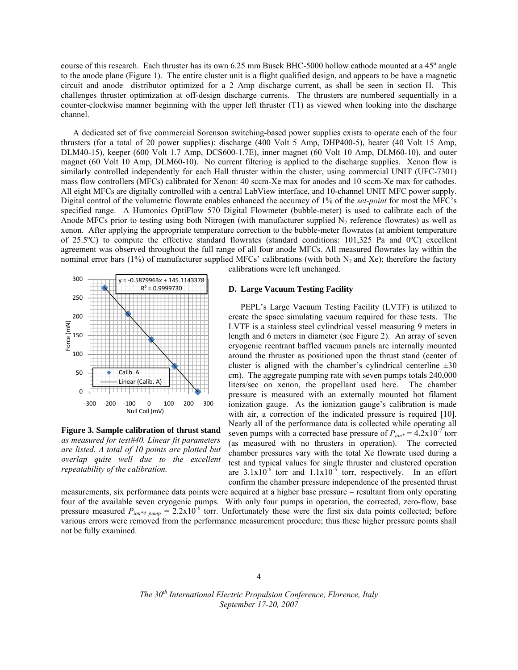course of this research. Each thruster has its own 6.25 mm Busek BHC-5000 hollow cathode mounted at a 45° angle to the anode plane (Figure 1). The entire cluster unit is a flight qualified design, and appears to be have a magnetic circuit and anode distributor optimized for a 2 Amp discharge current, as shall be seen in section H. This challenges thruster optimization at off-design discharge currents. The thrusters are numbered sequentially in a counter-clockwise manner beginning with the upper left thruster (T1) as viewed when looking into the discharge channel.

A dedicated set of five commercial Sorenson switching-based power supplies exists to operate each of the four thrusters (for a total of 20 power supplies): discharge (400 Volt 5 Amp, DHP400-5), heater (40 Volt 15 Amp, DLM40-15), keeper (600 Volt 1.7 Amp, DCS600-1.7E), inner magnet (60 Volt 10 Amp, DLM60-10), and outer magnet (60 Volt 10 Amp, DLM60-10). No current filtering is applied to the discharge supplies. Xenon flow is similarly controlled independently for each Hall thruster within the cluster, using commercial UNIT (UFC-7301) mass flow controllers (MFCs) calibrated for Xenon: 40 sccm-Xe max for anodes and 10 sccm-Xe max for cathodes. All eight MFCs are digitally controlled with a central LabView interface, and 10-channel UNIT MFC power supply. Digital control of the volumetric flowrate enables enhanced the accuracy of 1% of the *set-point* for most the MFC's specified range. A Humonics OptiFlow 570 Digital Flowmeter (bubble-meter) is used to calibrate each of the Anode MFCs prior to testing using both Nitrogen (with manufacturer supplied  $N_2$  reference flowrates) as well as xenon. After applying the appropriate temperature correction to the bubble-meter flowrates (at ambient temperature of 25.5 $^{\circ}$ C) to compute the effective standard flowrates (standard conditions: 101,325 Pa and  $^{\circ}$ C) excellent agreement was observed throughout the full range of all four anode MFCs. All measured flowrates lay within the nominal error bars (1%) of manufacturer supplied MFCs' calibrations (with both  $N_2$  and Xe); therefore the factory



Figure 3. Sample calibration of thrust stand *as measured for test#40. Linear fit parameters are listed. A total of 10 points are plotted but dia quite* well due to the excellent *repeatability of the calibration.* 

calibrations were left unchanged.

## **D.** Large Vacuum Testing Facility

PEPL's Large Vacuum Testing Facility (LVTF) is utilized to create the space simulating vacuum required for these tests. The LVTF is a stainless steel cylindrical vessel measuring 9 meters in length and 6 meters in diameter (see Figure 2). An array of seven cryogenic reentrant baffled vacuum panels are internally mounted around the thruster as positioned upon the thrust stand (center of cluster is aligned with the chamber's cylindrical centerline  $\pm 30$ cm). The aggregate pumping rate with seven pumps totals 240,000 liters/sec on xenon, the propellant used he pressure is measured with an externally mounted hot filament ioni zation gauge. As the ioniz zation gauge's calibration is made with air, a correction of the indicated pressure is required [10]. Nearly all of the performance data is collected while operating all seven pumps with a corrected base pressure of  $P_{ion}^* = 4.2 \times 10^{-7}$  torr (as measured with no thrusters in operation). The corrected chamber pressures vary with the total Xe flowrate used during a test and typical values for single thruster and clustered operation are  $3.1 \times 10^{-6}$  torr and  $1.1 \times 10^{-5}$  torr, respectively. In an effort confirm the chamber pressure independence of the presented thrust ere. The ch hamber

measurements, six performance data points were acquired at a higher base pressure – resultant from only operating four of the available seven cryogenic pumps. With only four pumps in operation, the corrected, zero-flow, base pressure measured  $P_{ion*4\ pump} = 2.2 \times 10^{-6}$  torr. Unfortunately these were the first six data points collected; before various errors were removed from the performance measurement procedure; thus these higher pressure points shall not be fully y examined.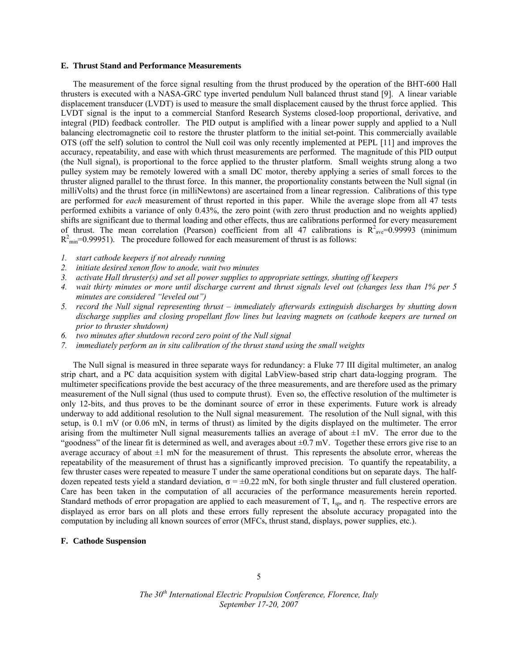#### **E. Thrust Stand and Performance Measurements**

The measurement of the force signal resulting from the thrust produced by the operation of the BHT-600 Hall thrusters is executed with a NASA-GRC type inverted pendulum Null balanced thrust stand [9]. A linear variable displacement transducer (LVDT) is used to measure the small displacement caused by the thrust force applied. This LVDT signal is the input to a commercial Stanford Research Systems closed-loop proportional, derivative, and integral (PID) feedback controller. The PID output is amplified with a linear power supply and applied to a Null balancing electromagnetic coil to restore the thruster platform to the initial set-point. This commercially available OTS (off the self) solution to control the Null coil was only recently implemented at PEPL [11] and improves the accuracy, repeatability, and ease with which thrust measurements are performed. The magnitude of this PID output (the Null signal), is proportional to the force applied to the thruster platform. Small weights strung along a two pulley system may be remotely lowered with a small DC motor, thereby applying a series of small forces to the thruster aligned parallel to the thrust force. In this manner, the proportionality constants between the Null signal (in milliVolts) and the thrust force (in milliNewtons) are ascertained from a linear regression. Calibrations of this type are performed for *each* measurement of thrust reported in this paper. While the average slope from all 47 tests performed exhibits a variance of only 0.43%, the zero point (with zero thrust production and no weights applied) shifts are significant due to thermal loading and other effects, thus are calibrations performed for every measurement of thrust. The mean correlation (Pearson) coefficient from all 47 calibrations is  $R^2_{ave}=0.99993$  (minimum  $R^2_{\text{min}}$ =0.99951). The procedure followed for each measurement of thrust is as follows:

- *1. start cathode keepers if not already running*
- *2. initiate desired xenon flow to anode, wait two minutes*
- *3. activate Hall thruster(s) and set all power supplies to appropriate settings, shutting off keepers*
- *4. wait thirty minutes or more until discharge current and thrust signals level out (changes less than 1% per 5 minutes are considered "leveled out")*
- *5. record the Null signal representing thrust immediately afterwards extinguish discharges by shutting down discharge supplies and closing propellant flow lines but leaving magnets on (cathode keepers are turned on prior to thruster shutdown)*
- *6. two minutes after shutdown record zero point of the Null signal*
- *7. immediately perform an in situ calibration of the thrust stand using the small weights*

The Null signal is measured in three separate ways for redundancy: a Fluke 77 III digital multimeter, an analog strip chart, and a PC data acquisition system with digital LabView-based strip chart data-logging program. The multimeter specifications provide the best accuracy of the three measurements, and are therefore used as the primary measurement of the Null signal (thus used to compute thrust). Even so, the effective resolution of the multimeter is only 12-bits, and thus proves to be the dominant source of error in these experiments. Future work is already underway to add additional resolution to the Null signal measurement. The resolution of the Null signal, with this setup, is 0.1 mV (or 0.06 mN, in terms of thrust) as limited by the digits displayed on the multimeter. The error arising from the multimeter Null signal measurements tallies an average of about  $\pm 1$  mV. The error due to the "goodness" of the linear fit is determined as well, and averages about  $\pm 0.7$  mV. Together these errors give rise to an average accuracy of about  $\pm 1$  mN for the measurement of thrust. This represents the absolute error, whereas the repeatability of the measurement of thrust has a significantly improved precision. To quantify the repeatability, a few thruster cases were repeated to measure T under the same operational conditions but on separate days. The halfdozen repeated tests yield a standard deviation,  $\sigma = \pm 0.22$  mN, for both single thruster and full clustered operation. Care has been taken in the computation of all accuracies of the performance measurements herein reported. Standard methods of error propagation are applied to each measurement of T, I<sub>sp</sub>, and η. The respective errors are displayed as error bars on all plots and these errors fully represent the absolute accuracy propagated into the computation by including all known sources of error (MFCs, thrust stand, displays, power supplies, etc.).

# **F. Cathode Suspension**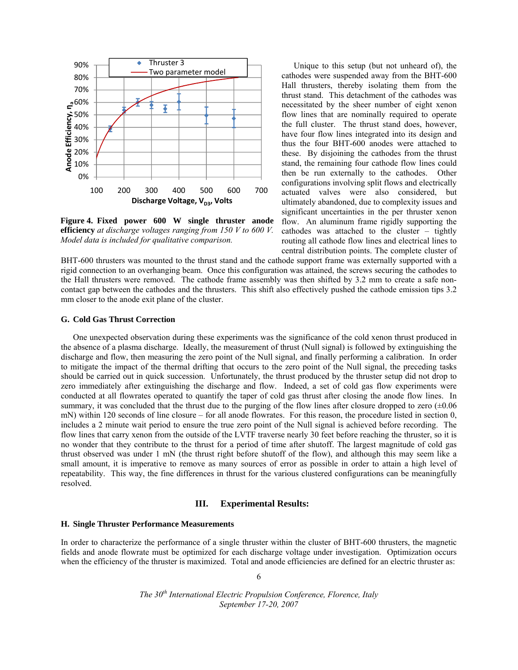

**Figure 4. Fixed power 600 W single thruster anode efficiency** *at discharge voltages ranging from 150 V to 600 V. Model data is included for qualitative comparison.*

Unique to this setup (but not unheard of), the cathodes were suspended away from the BHT-600 Hall thrusters, thereby isolating them from the thrust stand. This detachment of the cathodes was necessitated by the sheer number of eight xenon flow lines that are nominally required to operate the full cluster. The thrust stand does, however, have four flow lines integrated into its design and thus the four BHT-600 anodes were attached to these. By disjoining the cathodes from the thrust stand, the remaining four cathode flow lines could then be run externally to the cathodes. Other configurations involving split flows and electrically actuated valves were also considered, but ultimately abandoned, due to complexity issues and significant uncertainties in the per thruster xenon flow. An aluminum frame rigidly supporting the cathodes was attached to the cluster – tightly routing all cathode flow lines and electrical lines to central distribution points. The complete cluster of

BHT-600 thrusters was mounted to the thrust stand and the cathode support frame was externally supported with a rigid connection to an overhanging beam. Once this configuration was attained, the screws securing the cathodes to the Hall thrusters were removed. The cathode frame assembly was then shifted by 3.2 mm to create a safe noncontact gap between the cathodes and the thrusters. This shift also effectively pushed the cathode emission tips 3.2 mm closer to the anode exit plane of the cluster.

## **G. Cold Gas Thrust Correction**

One unexpected observation during these experiments was the significance of the cold xenon thrust produced in the absence of a plasma discharge. Ideally, the measurement of thrust (Null signal) is followed by extinguishing the discharge and flow, then measuring the zero point of the Null signal, and finally performing a calibration. In order to mitigate the impact of the thermal drifting that occurs to the zero point of the Null signal, the preceding tasks should be carried out in quick succession. Unfortunately, the thrust produced by the thruster setup did not drop to zero immediately after extinguishing the discharge and flow. Indeed, a set of cold gas flow experiments were conducted at all flowrates operated to quantify the taper of cold gas thrust after closing the anode flow lines. In summary, it was concluded that the thrust due to the purging of the flow lines after closure dropped to zero  $(\pm 0.06$ mN) within 120 seconds of line closure – for all anode flowrates. For this reason, the procedure listed in section 0, includes a 2 minute wait period to ensure the true zero point of the Null signal is achieved before recording. The flow lines that carry xenon from the outside of the LVTF traverse nearly 30 feet before reaching the thruster, so it is no wonder that they contribute to the thrust for a period of time after shutoff. The largest magnitude of cold gas thrust observed was under 1 mN (the thrust right before shutoff of the flow), and although this may seem like a small amount, it is imperative to remove as many sources of error as possible in order to attain a high level of repeatability. This way, the fine differences in thrust for the various clustered configurations can be meaningfully resolved.

# **III. Experimental Results:**

## **H. Single Thruster Performance Measurements**

In order to characterize the performance of a single thruster within the cluster of BHT-600 thrusters, the magnetic fields and anode flowrate must be optimized for each discharge voltage under investigation. Optimization occurs when the efficiency of the thruster is maximized. Total and anode efficiencies are defined for an electric thruster as:

6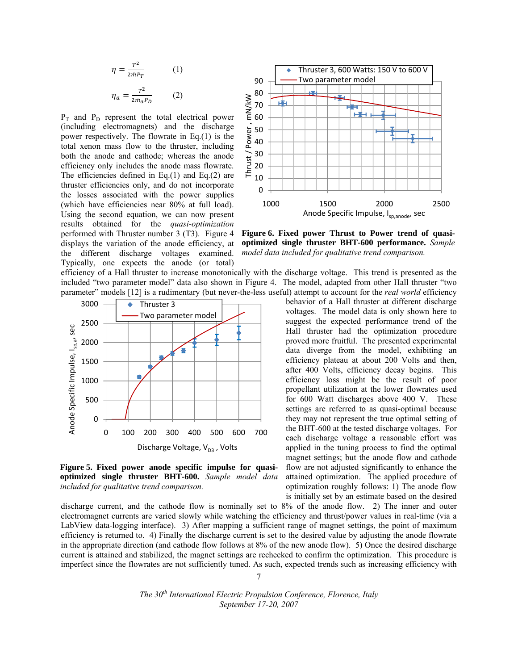$$
\eta = \frac{T^2}{2mPr} \qquad (1)
$$

$$
\eta_a = \frac{T^2}{2m_a P_D} \qquad (2)
$$

 $P_T$  and  $P_D$  represent the total electrical power (including electromagnets) and the discharge power respectively. The flowrate in Eq.(1) is the total xenon mass flow to the thruster, including both the anode and cathode; whereas the anode efficiency only includes the anode mass flowrate. The efficiencies defined in Eq.(1) and Eq.(2) are thruster efficiencies only, and do not incorporate the losses associated with the power supplies (which have efficiencies near 80% at full load). Using the second equation, we can now present results obtained for the *quasi-optimization* performed with Thruster number 3 (T3). Figure 4 displays the variation of the anode efficiency, at the different discharge voltages examined. Typically, one expects the anode (or total)







discharge current, and the cathode flow is nominally set to 8% of the anode flow. 2) The inner and outer electromagnet currents are varied slowly while watching the efficiency and thrust/power values in real-time (via a LabView data-logging interface). 3) After mapping a sufficient range of magnet settings, the point of maximum efficiency is returned to. 4) Finally the discharge current is set to the desired value by adjusting the anode flowrate in the appropriate direction (and cathode flow follows at 8% of the new anode flow). 5) Once the desired discharge current is attained and stabilized, the magnet settings are rechecked to confirm the optimization. This procedure is imperfect since the flowrates are not sufficiently tuned. As such, expected trends such as increasing efficiency with

> *The 30th International Electric Propulsion Conference, Florence, Italy September 17-20, 2007*

7



**Figure 6. Fixed power Thrust to Power trend of quasioptimized single thruster BHT-600 performance.** *Sample model data included for qualitative trend comparison.*

behavior of a Hall thruster at different discharge voltages. The model data is only shown here to suggest the expected performance trend of the Hall thruster had the optimization procedure proved more fruitful. The presented experimental data diverge from the model, exhibiting an efficiency plateau at about 200 Volts and then, after 400 Volts, efficiency decay begins. This efficiency loss might be the result of poor propellant utilization at the lower flowrates used for 600 Watt discharges above 400 V. These settings are referred to as quasi-optimal because they may not represent the true optimal setting of the BHT-600 at the tested discharge voltages. For each discharge voltage a reasonable effort was applied in the tuning process to find the optimal magnet settings; but the anode flow and cathode

is initially set by an estimate based on the desired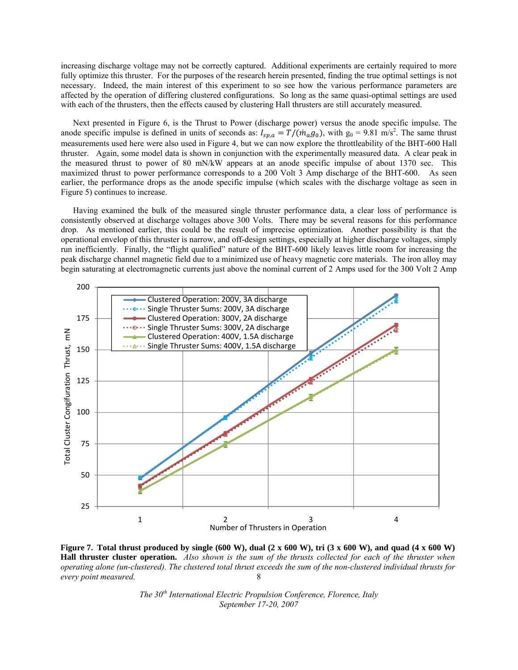increasing discharge voltage may not be correctly captured. Additional experiments are certainly required to more fully optimize this thruster. For the purposes of the research herein presented, finding the true optimal settings is not necessary. Indeed, the main interest of this experiment to so see how the various performance parameters are affected by the operation of differing clustered configurations. So long as the same quasi-optimal settings are used with each of the thrusters, then the effects caused by clustering Hall thrusters are still accurately measured.

 Next presented in Figure 6, is the Thrust to Power (discharge power) versus the anode specific impulse. The anode specific impulse is defined in units of seconds as:  $I_{sp,a} = T/(m_a g_0)$ , with  $g_0 = 9.81 \text{ m/s}^2$ . The same thrust measurements used here were also used in Figure 4, but we can now explore the throttleability of the BHT-600 Hall thruster. Again, some model data is shown in conjunction with the experimentally measured data. A clear peak in the measured thrust to power of 80 mN/kW appears at an anode specific impulse of about 1370 sec. This maximized thrust to power performance corresponds to a 200 Volt 3 Amp discharge of the BHT-600. As seen earlier, the performance drops as the anode specific impulse (which scales with the discharge voltage as seen in Figure 5) continues to increase.

 Having examined the bulk of the measured single thruster performance data, a clear loss of performance is consistently observed at discharge voltages above 300 Volts. There may be several reasons for this performance drop. As mentioned earlier, this could be the result of imprecise optimization. Another possibility is that the operational envelop of this thruster is narrow, and off-design settings, especially at higher discharge voltages, simply run inefficiently. Finally, the "flight qualified" nature of the BHT-600 likely leaves little room for increasing the peak discharge channel magnetic field due to a minimized use of heavy magnetic core materials. The iron alloy may begin saturating at electromagnetic currents just above the nominal current of 2 Amps used for the 300 Volt 2 Amp



8 **Figure 7. Total thrust produced by single (600 W), dual (2 x 600 W), tri (3 x 600 W), and quad (4 x 600 W) Hall thruster cluster operation.** *Also shown is the sum of the thrusts collected for each of the thruster when operating alone (un-clustered). The clustered total thrust exceeds the sum of the non-clustered individual thrusts for every point measured.*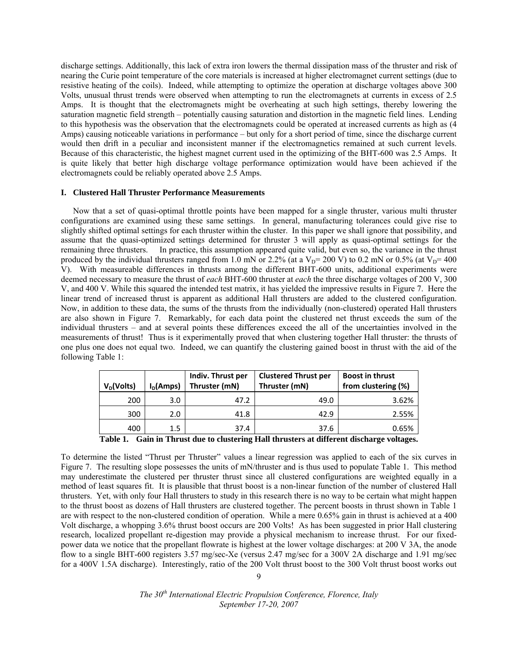discharge settings. Additionally, this lack of extra iron lowers the thermal dissipation mass of the thruster and risk of nearing the Curie point temperature of the core materials is increased at higher electromagnet current settings (due to resistive heating of the coils). Indeed, while attempting to optimize the operation at discharge voltages above 300 Volts, unusual thrust trends were observed when attempting to run the electromagnets at currents in excess of 2.5 Amps. It is thought that the electromagnets might be overheating at such high settings, thereby lowering the saturation magnetic field strength – potentially causing saturation and distortion in the magnetic field lines. Lending to this hypothesis was the observation that the electromagnets could be operated at increased currents as high as (4 Amps) causing noticeable variations in performance – but only for a short period of time, since the discharge current would then drift in a peculiar and inconsistent manner if the electromagnetics remained at such current levels. Because of this characteristic, the highest magnet current used in the optimizing of the BHT-600 was 2.5 Amps. It is quite likely that better high discharge voltage performance optimization would have been achieved if the electromagnets could be reliably operated above 2.5 Amps.

# **I. Clustered Hall Thruster Performance Measurements**

Now that a set of quasi-optimal throttle points have been mapped for a single thruster, various multi thruster configurations are examined using these same settings. In general, manufacturing tolerances could give rise to slightly shifted optimal settings for each thruster within the cluster. In this paper we shall ignore that possibility, and assume that the quasi-optimized settings determined for thruster 3 will apply as quasi-optimal settings for the remaining three thrusters. In practice, this assumption appeared quite valid, but even so, the variance in the thrust produced by the individual thrusters ranged from 1.0 mN or 2.2% (at a  $V_D$ = 200 V) to 0.2 mN or 0.5% (at  $V_D$ = 400 V). With measureable differences in thrusts among the different BHT-600 units, additional experiments were deemed necessary to measure the thrust of *each* BHT-600 thruster at *each* the three discharge voltages of 200 V, 300 V, and 400 V. While this squared the intended test matrix, it has yielded the impressive results in Figure 7. Here the linear trend of increased thrust is apparent as additional Hall thrusters are added to the clustered configuration. Now, in addition to these data, the sums of the thrusts from the individually (non-clustered) operated Hall thrusters are also shown in Figure 7. Remarkably, for each data point the clustered net thrust exceeds the sum of the individual thrusters – and at several points these differences exceed the all of the uncertainties involved in the measurements of thrust! Thus is it experimentally proved that when clustering together Hall thruster: the thrusts of one plus one does not equal two. Indeed, we can quantify the clustering gained boost in thrust with the aid of the following Table 1:

|                  | Indiv. Thrust per | <b>Clustered Thrust per</b> | <b>Boost in thrust</b> |
|------------------|-------------------|-----------------------------|------------------------|
| $I_D$ (Amps)     | Thruster (mN)     | Thruster (mN)               | from clustering (%)    |
| 3.0 <sub>2</sub> | 47.2              | 49.0                        | 3.62%                  |
| 2.0              | 41.8              | 42.9                        | 2.55%                  |
| 1.5              | 37.4              | 37.6                        | 0.65%                  |
|                  |                   |                             |                        |

|  |  |  |  | Table 1. Gain in Thrust due to clustering Hall thrusters at different discharge voltages. |  |
|--|--|--|--|-------------------------------------------------------------------------------------------|--|
|--|--|--|--|-------------------------------------------------------------------------------------------|--|

To determine the listed "Thrust per Thruster" values a linear regression was applied to each of the six curves in Figure 7. The resulting slope possesses the units of mN/thruster and is thus used to populate Table 1. This method may underestimate the clustered per thruster thrust since all clustered configurations are weighted equally in a method of least squares fit. It is plausible that thrust boost is a non-linear function of the number of clustered Hall thrusters. Yet, with only four Hall thrusters to study in this research there is no way to be certain what might happen to the thrust boost as dozens of Hall thrusters are clustered together. The percent boosts in thrust shown in Table 1 are with respect to the non-clustered condition of operation. While a mere 0.65% gain in thrust is achieved at a 400 Volt discharge, a whopping 3.6% thrust boost occurs are 200 Volts! As has been suggested in prior Hall clustering research, localized propellant re-digestion may provide a physical mechanism to increase thrust. For our fixedpower data we notice that the propellant flowrate is highest at the lower voltage discharges: at 200 V 3A, the anode flow to a single BHT-600 registers 3.57 mg/sec-Xe (versus 2.47 mg/sec for a 300V 2A discharge and 1.91 mg/sec for a 400V 1.5A discharge). Interestingly, ratio of the 200 Volt thrust boost to the 300 Volt thrust boost works out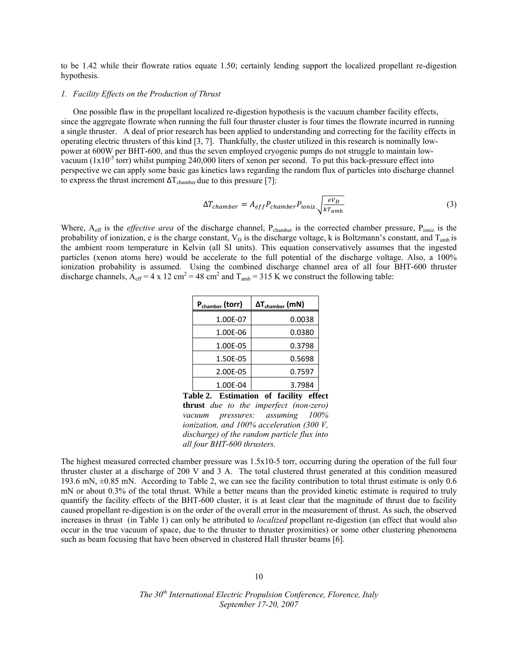to be 1.42 while their flowrate ratios equate 1.50; certainly lending support the localized propellant re-digestion hypothesis.

# *1. Facility Effects on the Production of Thrust*

 One possible flaw in the propellant localized re-digestion hypothesis is the vacuum chamber facility effects, since the aggregate flowrate when running the full four thruster cluster is four times the flowrate incurred in running a single thruster. A deal of prior research has been applied to understanding and correcting for the facility effects in operating electric thrusters of this kind [3, 7]. Thankfully, the cluster utilized in this research is nominally lowpower at 600W per BHT-600, and thus the seven employed cryogenic pumps do not struggle to maintain lowvacuum  $(1x10^{-5}$  torr) whilst pumping 240,000 liters of xenon per second. To put this back-pressure effect into perspective we can apply some basic gas kinetics laws regarding the random flux of particles into discharge channel to express the thrust increment  $\Delta T_{\text{chamber}}$  due to this pressure [7]:

$$
\Delta T_{chamber} = A_{eff} P_{chamber} P_{ioniz.} \sqrt{\frac{eV_D}{kT_{amb.}}} \tag{3}
$$

Where, A<sub>eff</sub> is the *effective area* of the discharge channel, P<sub>chamber</sub> is the corrected chamber pressure, P<sub>ioniz</sub> is the probability of ionization, e is the charge constant,  $V_D$  is the discharge voltage, k is Boltzmann's constant, and  $T_{amb}$  is the ambient room temperature in Kelvin (all SI units). This equation conservatively assumes that the ingested particles (xenon atoms here) would be accelerate to the full potential of the discharge voltage. Also, a 100% ionization probability is assumed. Using the combined discharge channel area of all four BHT-600 thruster discharge channels,  $A_{\text{eff}} = 4 \times 12 \text{ cm}^2 = 48 \text{ cm}^2$  and  $T_{\text{amb}} = 315 \text{ K}$  we construct the following table:

| P <sub>chamber</sub> (torr) | $\Delta T_{\text{chamber}}$ (mN) |
|-----------------------------|----------------------------------|
| 1.00E-07                    | 0.0038                           |
| 1.00E-06                    | 0.0380                           |
| 1.00E-05                    | 0.3798                           |
| 1.50E-05                    | 0.5698                           |
| 2.00E-05                    | 0.7597                           |
| 1.00E-04                    | 3.7984                           |

**Table 2. Estimation of facility effect thrust** *due to the imperfect (non-zero) vacuum pressures: assuming 100% ionization, and 100% acceleration (300 V, discharge) of the random particle flux into all four BHT-600 thrusters.*

The highest measured corrected chamber pressure was 1.5x10-5 torr, occurring during the operation of the full four thruster cluster at a discharge of 200 V and 3 A. The total clustered thrust generated at this condition measured 193.6 mN, ±0.85 mN. According to Table 2, we can see the facility contribution to total thrust estimate is only 0.6 mN or about 0.3% of the total thrust. While a better means than the provided kinetic estimate is required to truly quantify the facility effects of the BHT-600 cluster, it is at least clear that the magnitude of thrust due to facility caused propellant re-digestion is on the order of the overall error in the measurement of thrust. As such, the observed increases in thrust (in Table 1) can only be attributed to *localized* propellant re-digestion (an effect that would also occur in the true vacuum of space, due to the thruster to thruster proximities) or some other clustering phenomena such as beam focusing that have been observed in clustered Hall thruster beams [6].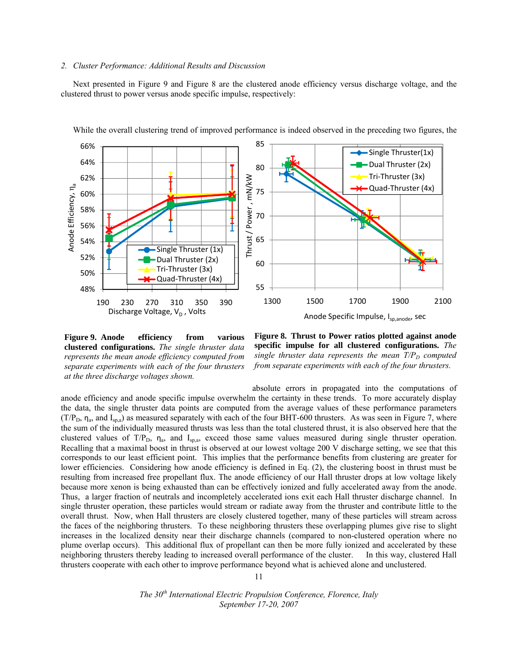## *2. Cluster Performance: Additional Results and Discussion*

Next presented in Figure 9 and Figure 8 are the clustered anode efficiency versus discharge voltage, and the clustered thrust to power versus anode specific impulse, respectively:



While the overall clustering trend of improved performance is indeed observed in the preceding two figures, the

**Figure 9. Anode efficiency from various clustered configurations.** *The single thruster data represents the mean anode efficiency computed from separate experiments with each of the four thrusters at the three discharge voltages shown.* 



absolute errors in propagated into the computations of anode efficiency and anode specific impulse overwhelm the certainty in these trends. To more accurately display the data, the single thruster data points are computed from the average values of these performance parameters  $(T/P<sub>D</sub>, \eta<sub>a</sub>,$  and I<sub>sp,a</sub>) as measured separately with each of the four BHT-600 thrusters. As was seen in Figure 7, where the sum of the individually measured thrusts was less than the total clustered thrust, it is also observed here that the clustered values of  $T/P_D$ ,  $\eta_a$ , and  $I_{sp,a}$ , exceed those same values measured during single thruster operation. Recalling that a maximal boost in thrust is observed at our lowest voltage 200 V discharge setting, we see that this corresponds to our least efficient point. This implies that the performance benefits from clustering are greater for lower efficiencies. Considering how anode efficiency is defined in Eq. (2), the clustering boost in thrust must be resulting from increased free propellant flux. The anode efficiency of our Hall thruster drops at low voltage likely because more xenon is being exhausted than can be effectively ionized and fully accelerated away from the anode. Thus, a larger fraction of neutrals and incompletely accelerated ions exit each Hall thruster discharge channel. In single thruster operation, these particles would stream or radiate away from the thruster and contribute little to the overall thrust. Now, when Hall thrusters are closely clustered together, many of these particles will stream across the faces of the neighboring thrusters. To these neighboring thrusters these overlapping plumes give rise to slight increases in the localized density near their discharge channels (compared to non-clustered operation where no plume overlap occurs). This additional flux of propellant can then be more fully ionized and accelerated by these neighboring thrusters thereby leading to increased overall performance of the cluster. In this way, clustered Hall thrusters cooperate with each other to improve performance beyond what is achieved alone and unclustered.

11